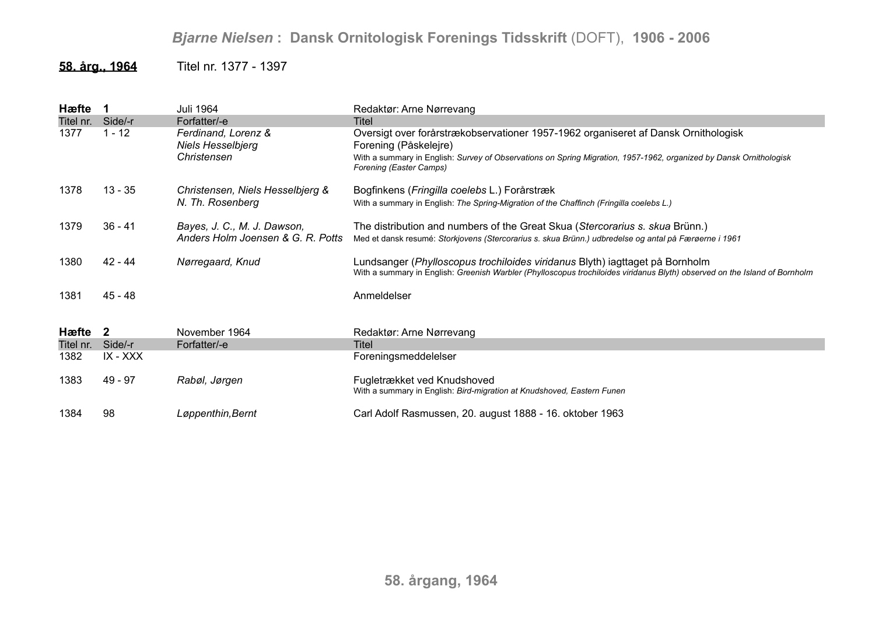## *Bjarne Nielsen* **: Dansk Ornitologisk Forenings Tidsskrift** (DOFT), **1906 - 2006**

## **58. årg., 1964** Titel nr. 1377 - 1397

| Hæfte     | $\blacksquare$ | Juli 1964                                                      | Redaktør: Arne Nørrevang                                                                                                                                                                                                                                     |
|-----------|----------------|----------------------------------------------------------------|--------------------------------------------------------------------------------------------------------------------------------------------------------------------------------------------------------------------------------------------------------------|
| Titel nr. | Side/-r        | Forfatter/-e                                                   | <b>Titel</b>                                                                                                                                                                                                                                                 |
| 1377      | $1 - 12$       | Ferdinand, Lorenz &<br><b>Niels Hesselbjerg</b><br>Christensen | Oversigt over forårstrækobservationer 1957-1962 organiseret af Dansk Ornithologisk<br>Forening (Påskelejre)<br>With a summary in English: Survey of Observations on Spring Migration, 1957-1962, organized by Dansk Ornithologisk<br>Forening (Easter Camps) |
| 1378      | $13 - 35$      | Christensen, Niels Hesselbjerg &                               | Bogfinkens (Fringilla coelebs L.) Forårstræk                                                                                                                                                                                                                 |
|           |                | N. Th. Rosenberg                                               | With a summary in English: The Spring-Migration of the Chaffinch (Fringilla coelebs L.)                                                                                                                                                                      |
| 1379      | $36 - 41$      | Bayes, J. C., M. J. Dawson,                                    | The distribution and numbers of the Great Skua (Stercorarius s. skua Brünn.)                                                                                                                                                                                 |
|           |                | Anders Holm Joensen & G. R. Potts                              | Med et dansk resumé: Storkjovens (Stercorarius s. skua Brünn.) udbredelse og antal på Færøerne i 1961                                                                                                                                                        |
| 1380      | 42 - 44        | Nørregaard, Knud                                               | Lundsanger (Phylloscopus trochiloides viridanus Blyth) iagttaget på Bornholm<br>With a summary in English: Greenish Warbler (Phylloscopus trochiloides viridanus Blyth) observed on the Island of Bornholm                                                   |
| 1381      | 45 - 48        |                                                                | Anmeldelser                                                                                                                                                                                                                                                  |
| Hæfte 2   |                | November 1964                                                  | Redaktør: Arne Nørrevang                                                                                                                                                                                                                                     |
| Titel nr. | Side/-r        | Forfatter/-e                                                   | Titel                                                                                                                                                                                                                                                        |
| 1382      | IX - XXX       |                                                                | Foreningsmeddelelser                                                                                                                                                                                                                                         |
| 1383      | 49 - 97        | Rabøl, Jørgen                                                  | Fugletrækket ved Knudshoved<br>With a summary in English: Bird-migration at Knudshoved, Eastern Funen                                                                                                                                                        |
| 1384      | 98             | Løppenthin, Bernt                                              | Carl Adolf Rasmussen, 20. august 1888 - 16. oktober 1963                                                                                                                                                                                                     |